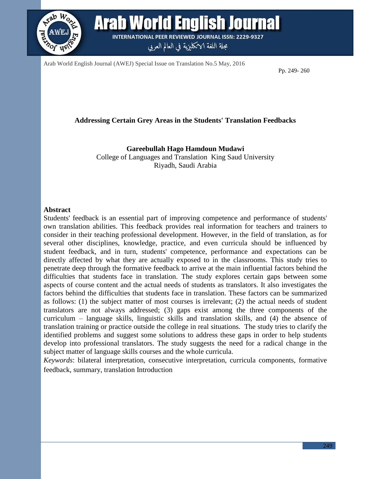

Arab World English Journal (AWEJ) Special Issue on Translation No.5 May, 2016

Pp. 249- 260

#### **Addressing Certain Grey Areas in the Students' Translation Feedbacks**

**Gareebullah Hago Hamdoun Mudawi**

College of Languages and Translation King Saud University Riyadh, Saudi Arabia

#### **Abstract**

Students' feedback is an essential part of improving competence and performance of students' own translation abilities. This feedback provides real information for teachers and trainers to consider in their teaching professional development. However, in the field of translation, as for several other disciplines, knowledge, practice, and even curricula should be influenced by student feedback, and in turn, students' competence, performance and expectations can be directly affected by what they are actually exposed to in the classrooms. This study tries to penetrate deep through the formative feedback to arrive at the main influential factors behind the difficulties that students face in translation. The study explores certain gaps between some aspects of course content and the actual needs of students as translators. It also investigates the factors behind the difficulties that students face in translation. These factors can be summarized as follows: (1) the subject matter of most courses is irrelevant; (2) the actual needs of student translators are not always addressed; (3) gaps exist among the three components of the curriculum – language skills, linguistic skills and translation skills, and (4) the absence of translation training or practice outside the college in real situations. The study tries to clarify the identified problems and suggest some solutions to address these gaps in order to help students develop into professional translators. The study suggests the need for a radical change in the subject matter of language skills courses and the whole curricula.

*Keywords*: bilateral interpretation, consecutive interpretation, curricula components, formative feedback, summary, translation Introduction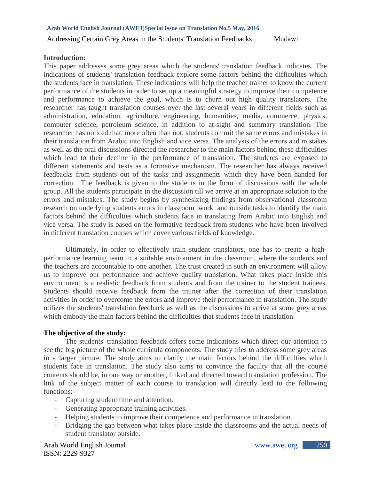#### **Introduction:**

This paper addresses some grey areas which the students' translation feedback indicates. The indications of students' translation feedback explore some factors behind the difficulties which the students face in translation. These indications will help the teacher trainer to know the current performance of the students in order to set up a meaningful strategy to improve their competence and performance to achieve the goal, which is to churn out high quality translators. The researcher has taught translation courses over the last several years in different fields such as administration, education, agriculture, engineering, humanities, media, commerce, physics, computer science, petroleum science, in addition to at-sight and summary translation. The researcher has noticed that, more often than not, students commit the same errors and mistakes in their translation from Arabic into English and vice versa. The analysis of the errors and mistakes as well as the oral discussions directed the researcher to the main factors behind these difficulties which lead to their decline in the performance of translation. The students are exposed to different statements and texts as a formative mechanism. The researcher has always received feedbacks from students out of the tasks and assignments which they have been handed for correction. The feedback is given to the students in the form of discussions with the whole group. All the students participate in the discussion till we arrive at an appropriate solution to the errors and mistakes. The study begins by synthesizing findings from observational classroom research on underlying students errors in classroom work and outside tasks to identify the main factors behind the difficulties which students face in translating from Arabic into English and vice versa. The study is based on the formative feedback from students who have been involved in different translation courses which cover various fields of knowledge.

Ultimately, in order to effectively train student translators, one has to create a highperformance learning team in a suitable environment in the classroom, where the students and the teachers are accountable to one another. The trust created in such an environment will allow us to improve our performance and achieve quality translation. What takes place inside this environment is a realistic feedback from students and from the trainer to the student trainees. Students should receive feedback from the trainer after the correction of their translation activities in order to overcome the errors and improve their performance in translation. The study utilizes the students' translation feedback as well as the discussions to arrive at some grey areas which embody the main factors behind the difficulties that students face in translation.

#### **The objective of the study:**

The students' translation feedback offers some indications which direct our attention to see the big picture of the whole curricula components. The study tries to address some grey areas in a larger picture. The study aims to clarify the main factors behind the difficulties which students face in translation. The study also aims to convince the faculty that all the course contents should be, in one way or another, linked and directed toward translation profession. The link of the subject matter of each course to translation will directly lead to the following functions:-

- Capturing student time and attention.
- Generating appropriate training activities.
- Helping students to improve their competence and performance in translation.
- Bridging the gap between what takes place inside the classrooms and the actual needs of student translator outside.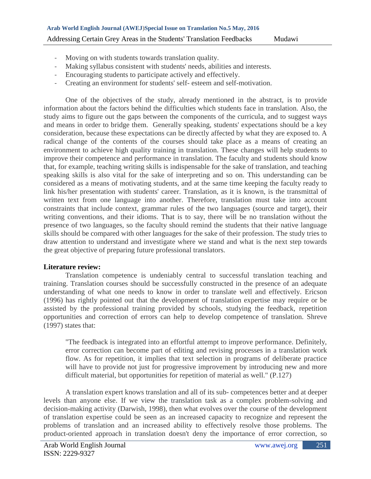- Moving on with students towards translation quality.
- Making syllabus consistent with students' needs, abilities and interests.
- Encouraging students to participate actively and effectively.
- Creating an environment for students' self- esteem and self-motivation.

One of the objectives of the study, already mentioned in the abstract, is to provide information about the factors behind the difficulties which students face in translation. Also, the study aims to figure out the gaps between the components of the curricula, and to suggest ways and means in order to bridge them. Generally speaking, students' expectations should be a key consideration, because these expectations can be directly affected by what they are exposed to. A radical change of the contents of the courses should take place as a means of creating an environment to achieve high quality training in translation. These changes will help students to improve their competence and performance in translation. The faculty and students should know that, for example, teaching writing skills is indispensable for the sake of translation, and teaching speaking skills is also vital for the sake of interpreting and so on. This understanding can be considered as a means of motivating students, and at the same time keeping the faculty ready to link his/her presentation with students' career. Translation, as it is known, is the transmittal of written text from one language into another. Therefore, translation must take into account constraints that include context, grammar rules of the two languages (source and target), their writing conventions, and their idioms. That is to say, there will be no translation without the presence of two languages, so the faculty should remind the students that their native language skills should be compared with other languages for the sake of their profession. The study tries to draw attention to understand and investigate where we stand and what is the next step towards the great objective of preparing future professional translators.

# **Literature review:**

Translation competence is undeniably central to successful translation teaching and training. Translation courses should be successfully constructed in the presence of an adequate understanding of what one needs to know in order to translate well and effectively. Ericson (1996) has rightly pointed out that the development of translation expertise may require or be assisted by the professional training provided by schools, studying the feedback, repetition opportunities and correction of errors can help to develop competence of translation. Shreve  $(1997)$  states that:

"The feedback is integrated into an effortful attempt to improve performance. Definitely, error correction can become part of editing and revising processes in a translation work flow. As for repetition, it implies that text selection in programs of deliberate practice will have to provide not just for progressive improvement by introducing new and more difficult material, but opportunities for repetition of material as well." (P.127)

A translation expert knows translation and all of its sub- competences better and at deeper levels than anyone else. If we view the translation task as a complex problem-solving and decision-making activity (Darwish, 1998), then what evolves over the course of the development of translation expertise could be seen as an increased capacity to recognize and represent the problems of translation and an increased ability to effectively resolve those problems. The product-oriented approach in translation doesn't deny the importance of error correction, so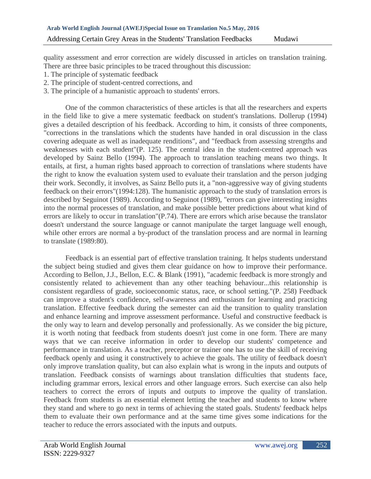quality assessment and error correction are widely discussed in articles on translation training. There are three basic principles to be traced throughout this discussion:

- 1. The principle of systematic feedback
- 2. The principle of student-centred corrections, and
- 3. The principle of a humanistic approach to students' errors.

One of the common characteristics of these articles is that all the researchers and experts in the field like to give a mere systematic feedback on student's translations. Dollerup (1994) gives a detailed description of his feedback. According to him, it consists of three components, "corrections in the translations which the students have handed in oral discussion in the class covering adequate as well as inadequate renditions", and "feedback from assessing strengths and weaknesses with each student"(P. 125). The central idea in the student-centred approach was developed by Sainz Bello (1994). The approach to translation teaching means two things. It entails, at first, a human rights based approach to correction of translations where students have the right to know the evaluation system used to evaluate their translation and the person judging their work. Secondly, it involves, as Sainz Bello puts it, a "non-aggressive way of giving students feedback on their errors"(1994:128). The humanistic approach to the study of translation errors is described by Seguinot (1989). According to Seguinot (1989), "errors can give interesting insights into the normal processes of translation, and make possible better predictions about what kind of errors are likely to occur in translation"(P.74). There are errors which arise because the translator doesn't understand the source language or cannot manipulate the target language well enough, while other errors are normal a by-product of the translation process and are normal in learning to translate (1989:80).

Feedback is an essential part of effective translation training. It helps students understand the subject being studied and gives them clear guidance on how to improve their performance. According to Bellon, J.J., Bellon, E.C. & Blank (1991), "academic feedback is more strongly and consistently related to achievement than any other teaching behaviour...this relationship is consistent regardless of grade, socioeconomic status, race, or school setting."(P. 258) Feedback can improve a student's confidence, self-awareness and enthusiasm for learning and practicing translation. Effective feedback during the semester can aid the transition to quality translation and enhance learning and improve assessment performance. Useful and constructive feedback is the only way to learn and develop personally and professionally. As we consider the big picture, it is worth noting that feedback from students doesn't just come in one form. There are many ways that we can receive information in order to develop our students' competence and performance in translation. As a teacher, preceptor or trainer one has to use the skill of receiving feedback openly and using it constructively to achieve the goals. The utility of feedback doesn't only improve translation quality, but can also explain what is wrong in the inputs and outputs of translation. Feedback consists of warnings about translation difficulties that students face, including grammar errors, lexical errors and other language errors. Such exercise can also help teachers to correct the errors of inputs and outputs to improve the quality of translation. Feedback from students is an essential element letting the teacher and students to know where they stand and where to go next in terms of achieving the stated goals. Students' feedback helps them to evaluate their own performance and at the same time gives some indications for the teacher to reduce the errors associated with the inputs and outputs.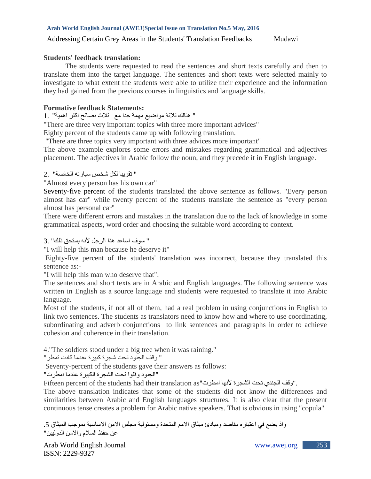### **Students' feedback translation:**

The students were requested to read the sentences and short texts carefully and then to translate them into the target language. The sentences and short texts were selected mainly to investigate to what extent the students were able to utilize their experience and the information they had gained from the previous courses in linguistics and language skills.

### **Formative feedback Statements:**

### " هنالك ثالثة مواضيع مهمة جدا مع ثالث نصائح اكثر اهمية" 1.

"There are three very important topics with three more important advices" Eighty percent of the students came up with following translation.

"There are three topics very important with three advices more important"

The above example explores some errors and mistakes regarding grammatical and adjectives placement. The adjectives in Arabic follow the noun, and they precede it in English language.

# " تقريبا لكل شخص سيارته الخاصة" 2.

"Almost every person has his own car"

Seventy-five percent of the students translated the above sentence as follows. "Every person almost has car" while twenty percent of the students translate the sentence as "every person almost has personal car"

There were different errors and mistakes in the translation due to the lack of knowledge in some grammatical aspects, word order and choosing the suitable word according to context.

" سوف اساعد هذا الرجل ألنه يستحق ذلك" 3.

"I will help this man because he deserve it"

Eighty-five percent of the students' translation was incorrect, because they translated this sentence as:-

"I will help this man who deserve that".

The sentences and short texts are in Arabic and English languages. The following sentence was written in English as a source language and students were requested to translate it into Arabic language.

Most of the students, if not all of them, had a real problem in using conjunctions in English to link two sentences. The students as translators need to know how and where to use coordinating, subordinating and adverb conjunctions to link sentences and paragraphs in order to achieve cohesion and coherence in their translation.

4."The soldiers stood under a big tree when it was raining."

" وقف الجنود تحت شجرة كبيرة عندما كانت تمطر"

Seventy-percent of the students gave their answers as follows:

"الجنود وقفوا تحت الشجرة الكبيرة عندما امطرت"

Fifteen percent of the students had their translation as"اوقف الجندي تحت الشجرة لأنها امطرت.

The above translation indicates that some of the students did not know the differences and similarities between Arabic and English languages structures. It is also clear that the present continuous tense creates a problem for Arabic native speakers. That is obvious in using "copula"

واذ يضع في اعتباره مقاصد ومبادئ ميثاق الامم المتحدة ومسئولية مجلس الامن الاساسية بموجب الميثاق 5. عن حفظ السالم واالمن الدوليين"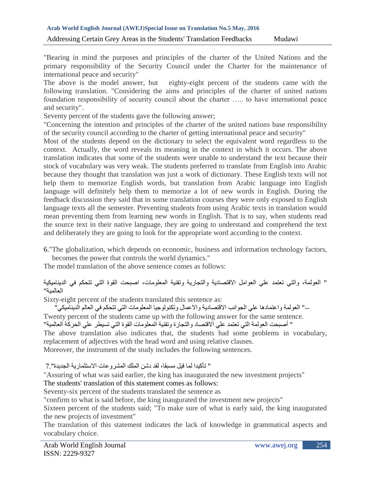"Bearing in mind the purposes and principles of the charter of the United Nations and the primary responsibility of the Security Council under the Charter for the maintenance of international peace and security"

The above is the model answer, but eighty-eight percent of the students came with the following translation. "Considering the aims and principles of the charter of united nations foundation responsibility of security council about the charter ….. to have international peace and security".

Seventy percent of the students gave the following answer;

"Concerning the intention and principles of the charter of the united nations base responsibility of the security council according to the charter of getting international peace and security"

Most of the students depend on the dictionary to select the equivalent word regardless to the context. Actually, the word reveals its meaning in the context in which it occurs. The above translation indicates that some of the students were unable to understand the text because their stock of vocabulary was very weak. The students preferred to translate from English into Arabic because they thought that translation was just a work of dictionary. These English texts will not help them to memorize English words, but translation from Arabic language into English language will definitely help them to memorize a lot of new words in English. During the feedback discussion they said that in some translation courses they were only exposed to English language texts all the semester. Preventing students from using Arabic texts in translation would mean preventing them from learning new words in English. That is to say, when students read the source text in their native language, they are going to understand and comprehend the text and deliberately they are going to look for the appropriate word according to the context.

6."The globalization, which depends on economic, business and information technology factors, becomes the power that controls the world dynamics."

The model translation of the above sentence comes as follows:

" العولمة، والتي تعتمد علي العوامل االقتصادية والتجارية وتقنية المعلومات، اصبحت القوة التي تتحكم في الديناميكية العالمية"

Sixty-eight percent of the students translated this sentence as:

--" العولمة واعتمادها علي الجوانب االقتصادية واالعمال وتكنولوجيا المعلومات التي تتحكم في العالم الديناميكي" Twenty percent of the students came up with the following answer for the same sentence.

" أصبحت العولمة التي تعتمد علي االقتصاد والتجارة وتقنية المعلومات القوة التي تسيطر علي الحركة العالمية"

The above translation also indicates that, the students had some problems in vocabulary, replacement of adjectives with the head word and using relative clauses.

Moreover, the instrument of the study includes the following sentences.

" تأكيدا لما قيل مسبقا، لقد دشن الملك المشروعات االستثمارية الجديدة"7.

"Assuring of what was said earlier, the king has inaugurated the new investment projects"

# The students' translation of this statement comes as follows:

Seventy-six percent of the students translated the sentence as

"confirm to what is said before, the king inaugurated the investment new projects"

Sixteen percent of the students said; "To make sure of what is early said, the king inaugurated the new projects of investment"

The translation of this statement indicates the lack of knowledge in grammatical aspects and vocabulary choice.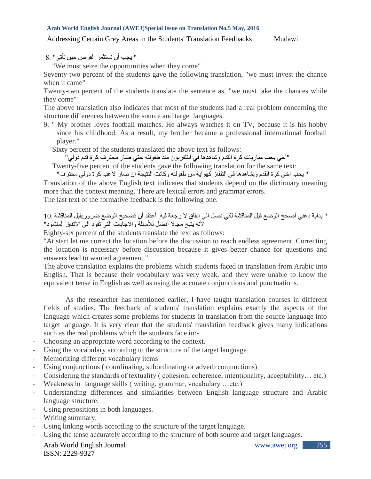" يجب أن نستثمر الفرص حين تأتي" 8.

"We must seize the opportunities when they come"

Seventy-two percent of the students gave the following translation, "we must invest the chance when it came"

Twenty-two percent of the students translate the sentence as, "we must take the chances while they come"

The above translation also indicates that most of the students had a real problem concerning the structure differences between the source and target languages.

9. " My brother loves football matches. He always watches it on TV, because it is his hobby since his childhood. As a result, my brother became a professional international football player."

Sixty percent of the students translated the above text as follows:

"أخي يحب مباريات كرة القدم وشاهدها في التلفزيون منذ طفولته حتي صار محترف كرة قدم دولي"

Twenty-five percent of the students gave the following translation for the same text:

" يحب اخي كرة القدم ويشاهدها في التلفاز كهواية من طفولته وكانت النتيجة ان صار العب كرة دولي محترف"

Translation of the above English text indicates that students depend on the dictionary meaning more than the context meaning. There are lexical errors and grammar errors.

The last text of the formative feedback is the following one.

# " بداية دعني أصحح الوضع قبل المناقشة لكي نصل الي اتفاق ال رجعة فيه. أعتقد أن تصحيح الوضع ضروريقبل المناقشة 10. ألنه يتيح مجاال أفضل لألسئلة واالجابات التي تقود الي االتفاق المنشود"

Eighty-six percent of the students translate the text as follows:

"At start let me correct the location before the discussion to reach endless agreement. Correcting the location is necessary before discussion because it gives better chance for questions and answers lead to wanted agreement."

The above translation explains the problems which students faced in translation from Arabic into English. That is because their vocabulary was very weak, and they were unable to know the equivalent tense in English as well as using the accurate conjunctions and punctuations.

As the researcher has mentioned earlier, I have taught translation courses in different fields of studies. The feedback of students' translation explains exactly the aspects of the language which creates some problems for students in translation from the source language into target language. It is very clear that the students' translation feedback gives many indications such as the real problems which the students face in:-

- Choosing an appropriate word according to the context.
- Using the vocabulary according to the structure of the target language
- Memorizing different vocabulary items
- Using conjunctions ( coordinating, subordinating or adverb conjunctions)
- Considering the standards of textuality ( cohesion, coherence, intentionality, acceptability… etc.)
- Weakness in language skills ( writing, grammar, vocabulary ...etc.)
- Understanding differences and similarities between English language structure and Arabic language structure.
- Using prepositions in both languages.
- Writing summary.
- Using linking words according to the structure of the target language.
- Using the tense accurately according to the structure of both source and target languages.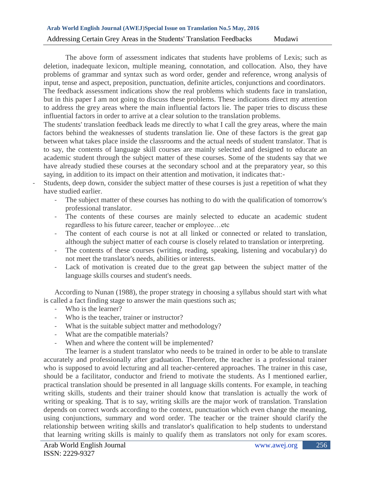The above form of assessment indicates that students have problems of Lexis; such as deletion, inadequate lexicon, multiple meaning, connotation, and collocation. Also, they have problems of grammar and syntax such as word order, gender and reference, wrong analysis of input, tense and aspect, preposition, punctuation, definite articles, conjunctions and coordinators. The feedback assessment indications show the real problems which students face in translation, but in this paper I am not going to discuss these problems. These indications direct my attention to address the grey areas where the main influential factors lie. The paper tries to discuss these

influential factors in order to arrive at a clear solution to the translation problems. The students' translation feedback leads me directly to what I call the grey areas, where the main factors behind the weaknesses of students translation lie. One of these factors is the great gap between what takes place inside the classrooms and the actual needs of student translator. That is to say, the contents of language skill courses are mainly selected and designed to educate an academic student through the subject matter of these courses. Some of the students say that we have already studied these courses at the secondary school and at the preparatory year, so this saying, in addition to its impact on their attention and motivation, it indicates that:-

- Students, deep down, consider the subject matter of these courses is just a repetition of what they have studied earlier.
	- The subject matter of these courses has nothing to do with the qualification of tomorrow's professional translator.
	- The contents of these courses are mainly selected to educate an academic student regardless to his future career, teacher or employee…etc
	- The content of each course is not at all linked or connected or related to translation, although the subject matter of each course is closely related to translation or interpreting.
	- The contents of these courses (writing, reading, speaking, listening and vocabulary) do not meet the translator's needs, abilities or interests.
	- Lack of motivation is created due to the great gap between the subject matter of the language skills courses and student's needs.

According to Nunan (1988), the proper strategy in choosing a syllabus should start with what is called a fact finding stage to answer the main questions such as;

- Who is the learner?
- Who is the teacher, trainer or instructor?
- What is the suitable subject matter and methodology?
- What are the compatible materials?
- When and where the content will be implemented?

The learner is a student translator who needs to be trained in order to be able to translate accurately and professionally after graduation. Therefore, the teacher is a professional trainer who is supposed to avoid lecturing and all teacher-centered approaches. The trainer in this case, should be a facilitator, conductor and friend to motivate the students. As I mentioned earlier, practical translation should be presented in all language skills contents. For example, in teaching writing skills, students and their trainer should know that translation is actually the work of writing or speaking. That is to say, writing skills are the major work of translation. Translation depends on correct words according to the context, punctuation which even change the meaning, using conjunctions, summary and word order. The teacher or the trainer should clarify the relationship between writing skills and translator's qualification to help students to understand that learning writing skills is mainly to qualify them as translators not only for exam scores.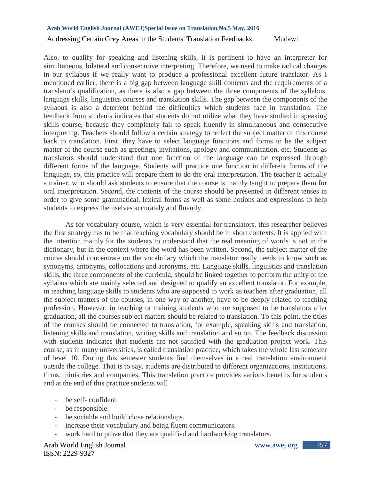Also, to qualify for speaking and listening skills, it is pertinent to have an interpreter for simultaneous, bilateral and consecutive interpreting. Therefore, we need to make radical changes in our syllabus if we really want to produce a professional excellent future translator. As I mentioned earlier, there is a big gap between language skill contents and the requirements of a translator's qualification, as there is also a gap between the three components of the syllabus, language skills, linguistics courses and translation skills. The gap between the components of the syllabus is also a deterrent behind the difficulties which students face in translation. The feedback from students indicates that students do not utilize what they have studied in speaking skills course, because they completely fail to speak fluently in simultaneous and consecutive interpreting. Teachers should follow a certain strategy to reflect the subject matter of this course back to translation. First, they have to select language functions and forms to be the subject matter of the course such as greetings, invitations, apology and communication, etc. Students as translators should understand that one function of the language can be expressed through different forms of the language. Students will practice one function in different forms of the language, so, this practice will prepare them to do the oral interpretation. The teacher is actually a trainer, who should ask students to ensure that the course is mainly taught to prepare them for oral interpretation. Second, the contents of the course should be presented in different tenses in order to give some grammatical, lexical forms as well as some notions and expressions to help students to express themselves accurately and fluently.

As for vocabulary course, which is very essential for translators, this researcher believes the first strategy has to be that teaching vocabulary should be in short contexts. It is applied with the intention mainly for the students to understand that the real meaning of words is not in the dictionary, but in the context where the word has been written. Second, the subject matter of the course should concentrate on the vocabulary which the translator really needs to know such as synonyms, antonyms, collocations and acronyms, etc. Language skills, linguistics and translation skills, the three components of the curricula, should be linked together to perform the unity of the syllabus which are mainly selected and designed to qualify an excellent translator. For example, in teaching language skills to students who are supposed to work as teachers after graduation, all the subject matters of the courses, in one way or another, have to be deeply related to teaching profession. However, in teaching or training students who are supposed to be translators after graduation, all the courses subject matters should be related to translation. To this point, the titles of the courses should be connected to translation, for example, speaking skills and translation, listening skills and translation, writing skills and translation and so on. The feedback discussion with students indicates that students are not satisfied with the graduation project work. This course, as in many universities, is called translation practice, which takes the whole last semester of level 10. During this semester students find themselves in a real translation environment outside the college. That is to say, students are distributed to different organizations, institutions, firms, ministries and companies. This translation practice provides various benefits for students and at the end of this practice students will

- be self-confident
- be responsible.
- be sociable and build close relationships.
- increase their vocabulary and being fluent communicators.
- work hard to prove that they are qualified and hardworking translators.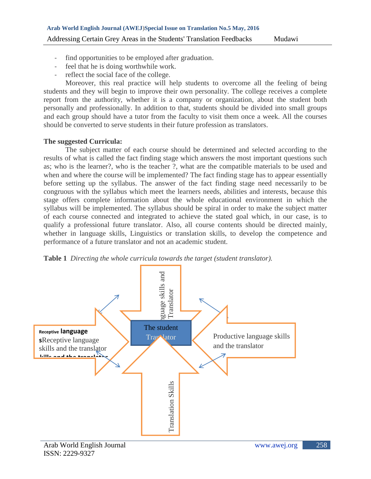- find opportunities to be employed after graduation.
- feel that he is doing worthwhile work.
- reflect the social face of the college.

Moreover, this real practice will help students to overcome all the feeling of being students and they will begin to improve their own personality. The college receives a complete report from the authority, whether it is a company or organization, about the student both personally and professionally. In addition to that, students should be divided into small groups and each group should have a tutor from the faculty to visit them once a week. All the courses should be converted to serve students in their future profession as translators.

# **The suggested Curricula:**

The subject matter of each course should be determined and selected according to the results of what is called the fact finding stage which answers the most important questions such as; who is the learner?, who is the teacher ?, what are the compatible materials to be used and when and where the course will be implemented? The fact finding stage has to appear essentially before setting up the syllabus. The answer of the fact finding stage need necessarily to be congruous with the syllabus which meet the learners needs, abilities and interests, because this stage offers complete information about the whole educational environment in which the syllabus will be implemented. The syllabus should be spiral in order to make the subject matter of each course connected and integrated to achieve the stated goal which, in our case, is to qualify a professional future translator. Also, all course contents should be directed mainly, whether in language skills, Linguistics or translation skills, to develop the competence and performance of a future translator and not an academic student.



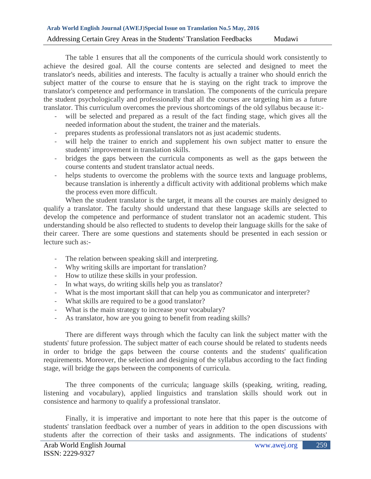The table 1 ensures that all the components of the curricula should work consistently to achieve the desired goal. All the course contents are selected and designed to meet the translator's needs, abilities and interests. The faculty is actually a trainer who should enrich the subject matter of the course to ensure that he is staying on the right track to improve the translator's competence and performance in translation. The components of the curricula prepare the student psychologically and professionally that all the courses are targeting him as a future translator. This curriculum overcomes the previous shortcomings of the old syllabus because it:-

- will be selected and prepared as a result of the fact finding stage, which gives all the needed information about the student, the trainer and the materials.
- prepares students as professional translators not as just academic students.
- will help the trainer to enrich and supplement his own subject matter to ensure the students' improvement in translation skills.
- bridges the gaps between the curricula components as well as the gaps between the course contents and student translator actual needs.
- helps students to overcome the problems with the source texts and language problems, because translation is inherently a difficult activity with additional problems which make the process even more difficult.

When the student translator is the target, it means all the courses are mainly designed to qualify a translator. The faculty should understand that these language skills are selected to develop the competence and performance of student translator not an academic student. This understanding should be also reflected to students to develop their language skills for the sake of their career. There are some questions and statements should be presented in each session or lecture such as:-

- The relation between speaking skill and interpreting.
- Why writing skills are important for translation?
- How to utilize these skills in your profession.
- In what ways, do writing skills help you as translator?
- What is the most important skill that can help you as communicator and interpreter?
- What skills are required to be a good translator?
- What is the main strategy to increase your vocabulary?
- As translator, how are you going to benefit from reading skills?

There are different ways through which the faculty can link the subject matter with the students' future profession. The subject matter of each course should be related to students needs in order to bridge the gaps between the course contents and the students' qualification requirements. Moreover, the selection and designing of the syllabus according to the fact finding stage, will bridge the gaps between the components of curricula.

The three components of the curricula; language skills (speaking, writing, reading, listening and vocabulary), applied linguistics and translation skills should work out in consistence and harmony to qualify a professional translator.

Finally, it is imperative and important to note here that this paper is the outcome of students' translation feedback over a number of years in addition to the open discussions with students after the correction of their tasks and assignments. The indications of students'